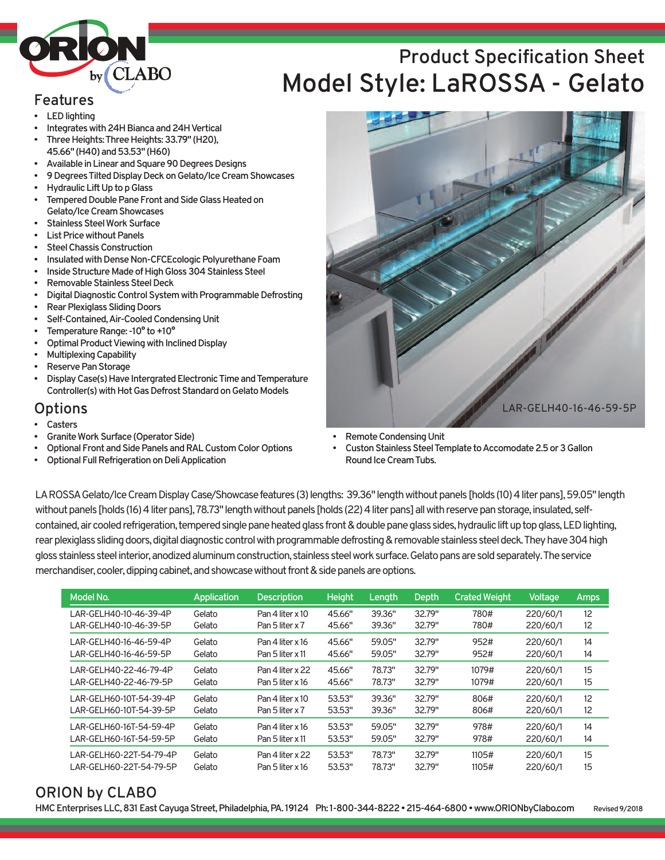

# **Product Specification Sheet Model Style: LaROSSA - Gelato**

#### **Features**

- **LED** lighting
- **Integrates with 24H Bianca and 24H Vertical**
- **ThreeHeights:ThreeHeights:33.79" (H20), 45.66" (H40)and53.53" (H60)**
- **AvailableinLinearandSquare90DegreesDesigns**
- **9DegreesTiltedDisplayDeckonGelato/IceCreamShowcases Hydraulic Lift Up to p Glass**
- **Tempered Double Pane Front and Side Glass Heated on Gelato/IceCreamShowcases**
- **Stainless Steel Work Surface**
- **List Price without Panels**
- **Steel Chassis Construction**
- **Insulated with Dense Non-CFCEcologic Polyurethane Foam**
- **Inside Structure Made of High Gloss 304 Stainless Steel**
- **Removable Stainless Steel Deck**
- **Digital Diagnostic Control System with Programmable Defrosting**
- **Rear Plexiglass Sliding Doors**
- **Self-Contained,Air-CooledCondensingUnit**
- **TemperatureRange:-10° to+10°**
- **Optimal Product Viewing with Inclined Display**
- **MultiplexingCapability**
- **Reserve Pan Storage**
- **Display Case(s) Have Intergrated Electronic Time and Temperature** Controller(s) with Hot Gas Defrost Standard on Gelato Models

#### **Options**

- **Casters**
- **Granite Work Surface (Operator Side)**
- **Optional Front and Side Panels and RAL Custom Color Options**
- **Optional Full Refrigeration on Deli Application**



- **Remote Condensing Unit**
- **Custon Stainless Steel Template to Accomodate 2.5 or 3 Gallon RoundIceCreamTubs.**

LAROSSA Gelato/Ice Cream Display Case/Showcase features (3) lengths: 39.36" length without panels [holds (10) 4 liter pans], 59.05" length without panels [holds (16) 4 liter pans], 78.73" length without panels [holds (22) 4 liter pans] all with reserve pan storage, insulated, selfcontained, air cooled refrigeration, tempered single pane heated glass front & double pane glass sides, hydraulic lift up top glass, LED lighting, rear plexiglass sliding doors, digital diagnostic control with programmable defrosting & removable stainless steel deck. They have 304 high gloss stainless steel interior, anodized aluminum construction, stainless steel work surface. Gelato pans are sold separately. The service merchandiser, cooler, dipping cabinet, and showcase without front & side panels are options.

| Model No.               | Application | <b>Description</b> | <b>Height</b> | Length | Depth  | <b>Crated Weight</b> | Voltage  | Amps            |
|-------------------------|-------------|--------------------|---------------|--------|--------|----------------------|----------|-----------------|
| LAR-GELH40-10-46-39-4P  | Gelato      | Pan 4 liter x 10   | 45.66"        | 39.36" | 32.79" | 780#                 | 220/60/1 | 12              |
| LAR-GELH40-10-46-39-5P  | Gelato      | Pan 5 liter x 7    | 45.66"        | 39.36" | 32.79" | 780#                 | 220/60/1 | 12 <sup>°</sup> |
| LAR-GELH40-16-46-59-4P  | Gelato      | Pan 4 liter x 16   | 45.66"        | 59.05" | 32.79" | 952#                 | 220/60/1 | 14              |
| LAR-GELH40-16-46-59-5P  | Gelato      | Pan 5 liter x 11   | 45.66"        | 59.05" | 32.79" | 952#                 | 220/60/1 | 14              |
| LAR-GELH40-22-46-79-4P  | Gelato      | Pan 4 liter x 22   | 45.66"        | 78.73" | 32.79" | 1079#                | 220/60/1 | 15              |
| LAR-GELH40-22-46-79-5P  | Gelato      | Pan 5 liter $x$ 16 | 45.66"        | 78.73" | 32.79" | 1079#                | 220/60/1 | 15              |
| LAR-GELH60-10T-54-39-4P | Gelato      | Pan 4 liter x 10   | 53.53"        | 39.36" | 32.79" | 806#                 | 220/60/1 | 12              |
| LAR-GELH60-10T-54-39-5P | Gelato      | Pan 5 liter x 7    | 53.53"        | 39.36" | 32.79" | 806#                 | 220/60/1 | 12 <sup>°</sup> |
| LAR-GELH60-16T-54-59-4P | Gelato      | Pan 4 liter x 16   | 53.53"        | 59.05" | 32.79" | 978#                 | 220/60/1 | 14              |
| LAR-GELH60-16T-54-59-5P | Gelato      | Pan 5 liter x 11   | 53.53"        | 59.05" | 32.79" | 978#                 | 220/60/1 | 14              |
| LAR-GELH60-22T-54-79-4P | Gelato      | Pan 4 liter x 22   | 53.53"        | 78.73" | 32.79" | 1105#                | 220/60/1 | 15              |
| LAR-GELH60-22T-54-79-5P | Gelato      | Pan 5 liter $x$ 16 | 53.53"        | 78.73" | 32.79" | 1105#                | 220/60/1 | 15              |

### **ORION by CLABO**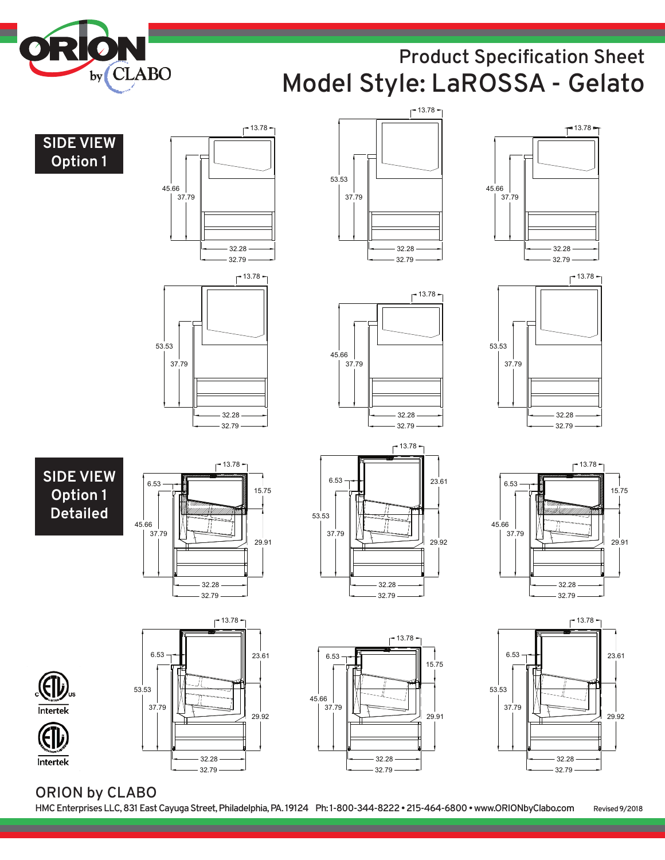

# **D 1 Product Specification Sheet Model Style: LaROSSA - Gelato**









45.66

37.79













32.28

 $-13.78$ 

32.79

 $-13.78$ 



32.79





**D** 

## **ORION by CLABO**

Intertek

Intertek

53.53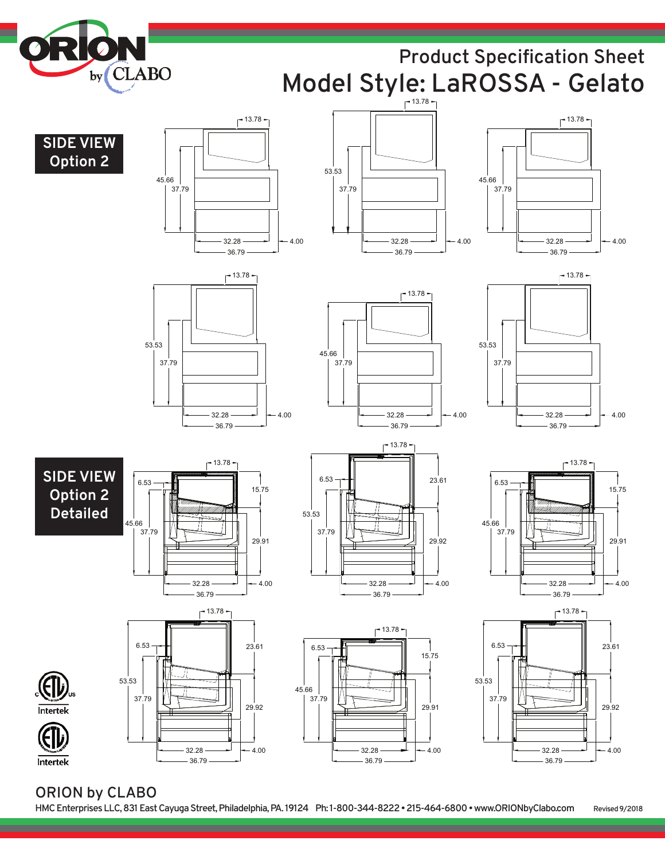

# **24" D Product Specification Sheet B B Model Style: LaROSSA - Gelato**

13.78





 **24"** 

























32.28

36.79

 $-4.00$ 

### **ORION by CLABO D**

Intertek

Intertek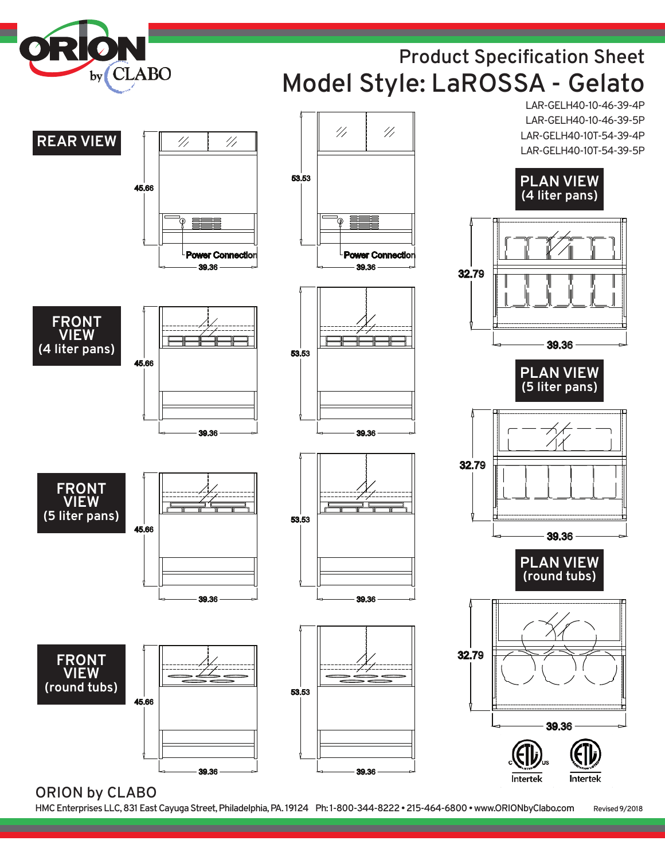

# **Product Specification Sheet Model Style: LaROSSA - Gelato**

LAR-GELH40-10-46-39-4P LAR-GELH40-10-46-39-5P LAR-GELH40-10T-54-39-4P LAR-GELH40-10T-54-39-5P



47

 $^{\prime\prime}$ 

**ORION by CLABO**

**HMCEnterprisesLLC,831EastCayugaStreet,Philadelphia,PA. 19124 Ph: 1-800-344-8222•215-464-6800•www.ORIONbyClabo.com Revised9/2018**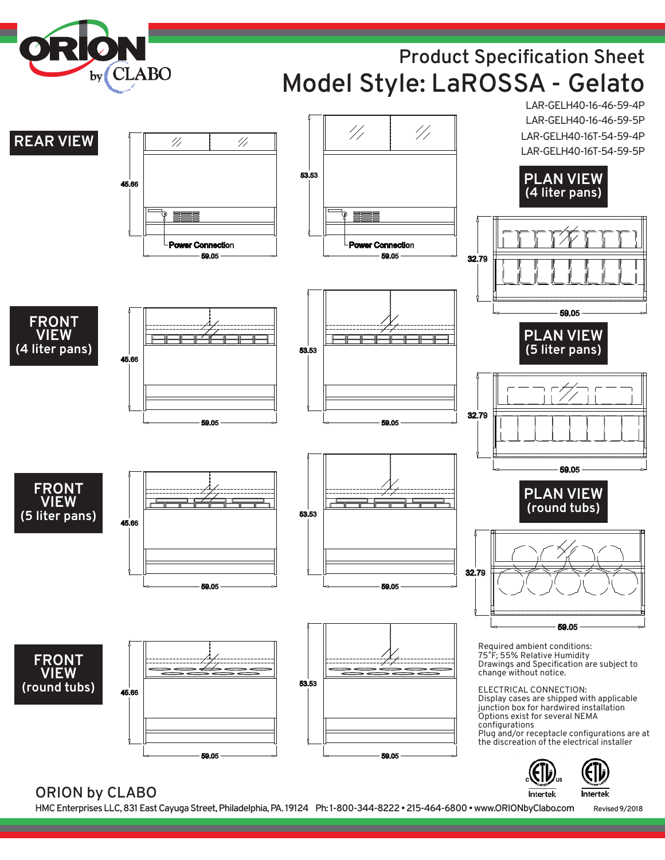

## **Product Specification Sheet Model Style: LaROSSA - Gelato**



### **ORION by CLABO**

**HMCEnterprisesLLC,831EastCayugaStreet,Philadelphia,PA. 19124 Ph: 1-800-344-8222•215-464-6800•www.ORIONbyClabo.com Revised9/2018**

Intertek

Intertek